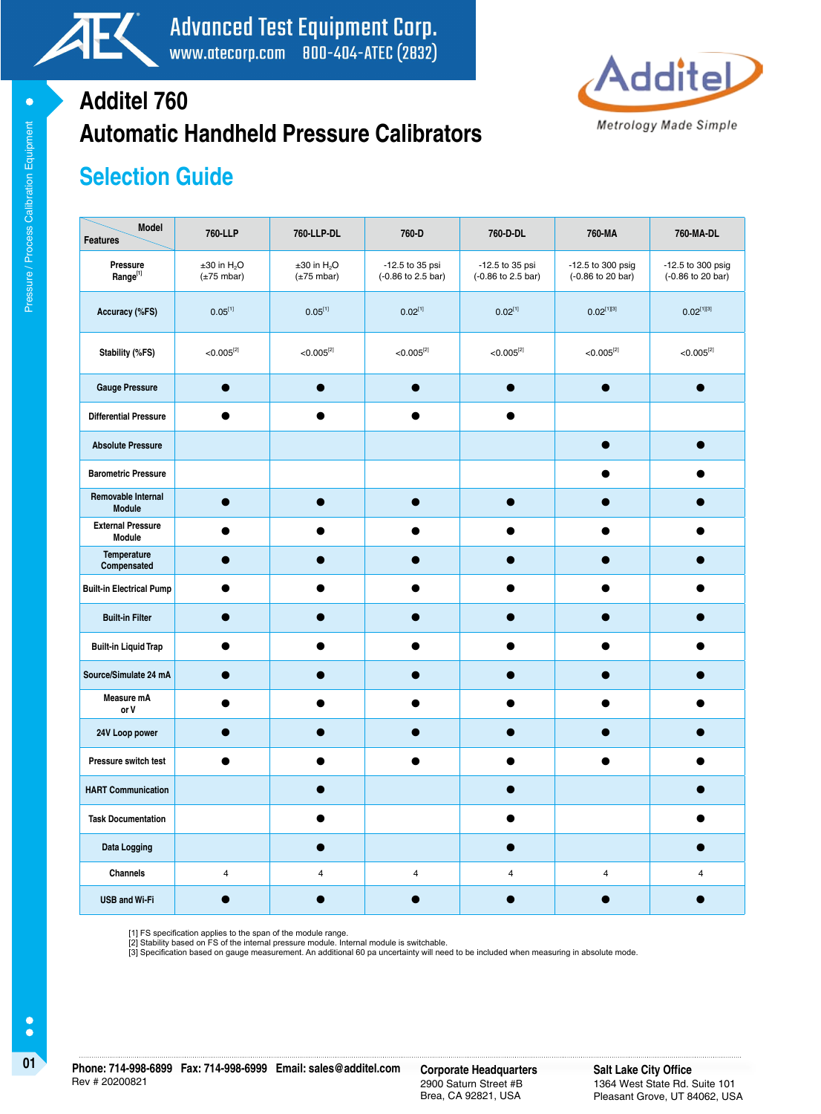



# **Automatic Handheld Pressure Calibrators Additel 760**

## **Selection Guide**

| Model<br><b>Features</b>            | 760-LLP                                              | 760-LLP-DL                                              | 760-D                                 | 760-D-DL                              | 760-MA                                 | 760-MA-DL                              |
|-------------------------------------|------------------------------------------------------|---------------------------------------------------------|---------------------------------------|---------------------------------------|----------------------------------------|----------------------------------------|
| Pressure<br>Range <sup>[1]</sup>    | $±30$ in H <sub>2</sub> O<br>$(\pm 75 \text{ mbar})$ | $\pm 30$ in H <sub>2</sub> O<br>$(\pm 75 \text{ mbar})$ | -12.5 to 35 psi<br>(-0.86 to 2.5 bar) | -12.5 to 35 psi<br>(-0.86 to 2.5 bar) | -12.5 to 300 psig<br>(-0.86 to 20 bar) | -12.5 to 300 psig<br>(-0.86 to 20 bar) |
| Accuracy (%FS)                      | $0.05^{[1]}$                                         | $0.05^{[1]}$                                            | $0.02^{[1]}$                          | $0.02^{[1]}$                          | $0.02^{[1][3]}$                        | $0.02^{[1][3]}$                        |
| Stability (%FS)                     | $< 0.005^{[2]}$                                      | $< 0.005^{[2]}$                                         | $< 0.005^{[2]}$                       | $< 0.005^{[2]}$                       | $< 0.005^{[2]}$                        | $<$ 0.005 $^{[2]}$                     |
| <b>Gauge Pressure</b>               | $\bullet$                                            |                                                         | $\bullet$                             | $\bullet$                             | $\bullet$                              |                                        |
| <b>Differential Pressure</b>        | $\bullet$                                            | ●                                                       | $\bullet$                             | ●                                     |                                        |                                        |
| <b>Absolute Pressure</b>            |                                                      |                                                         |                                       |                                       | $\bullet$                              |                                        |
| <b>Barometric Pressure</b>          |                                                      |                                                         |                                       |                                       |                                        |                                        |
| Removable Internal<br><b>Module</b> | $\bullet$                                            | $\bullet$                                               | $\bullet$                             |                                       |                                        |                                        |
| <b>External Pressure</b><br>Module  |                                                      |                                                         |                                       |                                       |                                        |                                        |
| Temperature<br>Compensated          |                                                      |                                                         |                                       |                                       |                                        |                                        |
| <b>Built-in Electrical Pump</b>     |                                                      |                                                         |                                       |                                       |                                        |                                        |
| <b>Built-in Filter</b>              | e                                                    |                                                         |                                       |                                       |                                        |                                        |
| <b>Built-in Liquid Trap</b>         | ●                                                    |                                                         | О                                     |                                       |                                        |                                        |
| Source/Simulate 24 mA               |                                                      |                                                         |                                       |                                       |                                        |                                        |
| Measure mA<br>or V                  |                                                      |                                                         |                                       |                                       |                                        |                                        |
| 24V Loop power                      |                                                      |                                                         |                                       |                                       |                                        |                                        |
| Pressure switch test                | e                                                    |                                                         |                                       |                                       |                                        |                                        |
| <b>HART Communication</b>           |                                                      |                                                         |                                       |                                       |                                        |                                        |
| <b>Task Documentation</b>           |                                                      |                                                         |                                       |                                       |                                        |                                        |
| <b>Data Logging</b>                 |                                                      |                                                         |                                       |                                       |                                        |                                        |
| Channels                            | $\pmb{4}$                                            | $\overline{\mathbf{4}}$                                 | $\overline{\mathbf{4}}$               | $\overline{\mathbf{4}}$               | $\overline{\mathbf{4}}$                | $\overline{4}$                         |
| <b>USB and Wi-Fi</b>                |                                                      |                                                         |                                       |                                       |                                        |                                        |

[1] FS specification applies to the span of the module range. [2] Stability based on FS of the internal pressure module. Internal module is switchable.

[3] Specification based on gauge measurement. An additional 60 pa uncertainty will need to be included when measuring in absolute mode.

 $\bullet$ 

2900 Saturn Street #B Brea, CA 92821, USA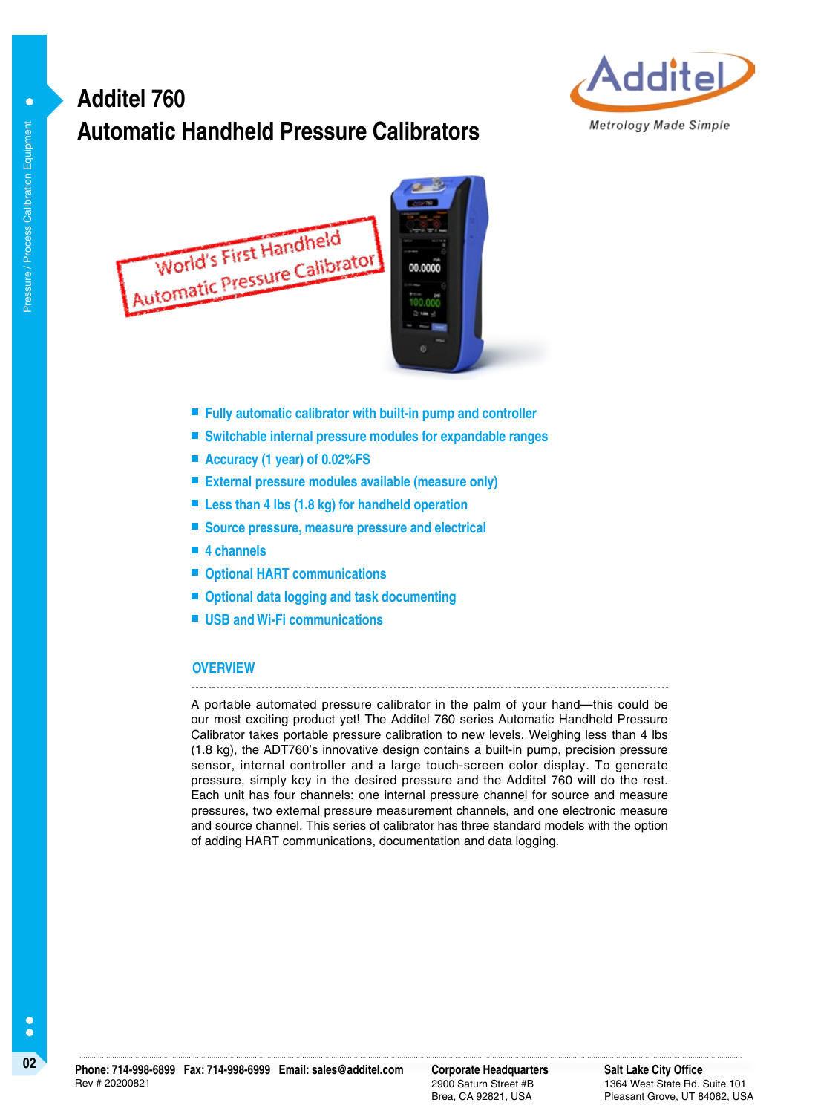## **Automatic Handheld Pressure Calibrators Additel 760**





- **Fully automatic calibrator with built-in pump and controller**
- **Switchable internal pressure modules for expandable ranges**
- **Accuracy (1 year) of 0.02%FS**
- **External pressure modules available (measure only)**
- Less than 4 lbs (1.8 kg) for handheld operation
- Source pressure, measure pressure and electrical
- **4 channels**
- Optional HART communications
- Optional data logging and task documenting
- **USB and Wi-Fi communications**

#### **OVERVIEW**

A portable automated pressure calibrator in the palm of your hand—this could be our most exciting product yet! The Additel 760 series Automatic Handheld Pressure Calibrator takes portable pressure calibration to new levels. Weighing less than 4 lbs (1.8 kg), the ADT760's innovative design contains a built-in pump, precision pressure sensor, internal controller and a large touch-screen color display. To generate pressure, simply key in the desired pressure and the Additel 760 will do the rest. Each unit has four channels: one internal pressure channel for source and measure pressures, two external pressure measurement channels, and one electronic measure and source channel. This series of calibrator has three standard models with the option of adding HART communications, documentation and data logging.

 $\bullet$ 

2900 Saturn Street #B Brea, CA 92821, USA

**Salt Lake City Office** 1364 West State Rd. Suite 101 Pleasant Grove, UT 84062, USA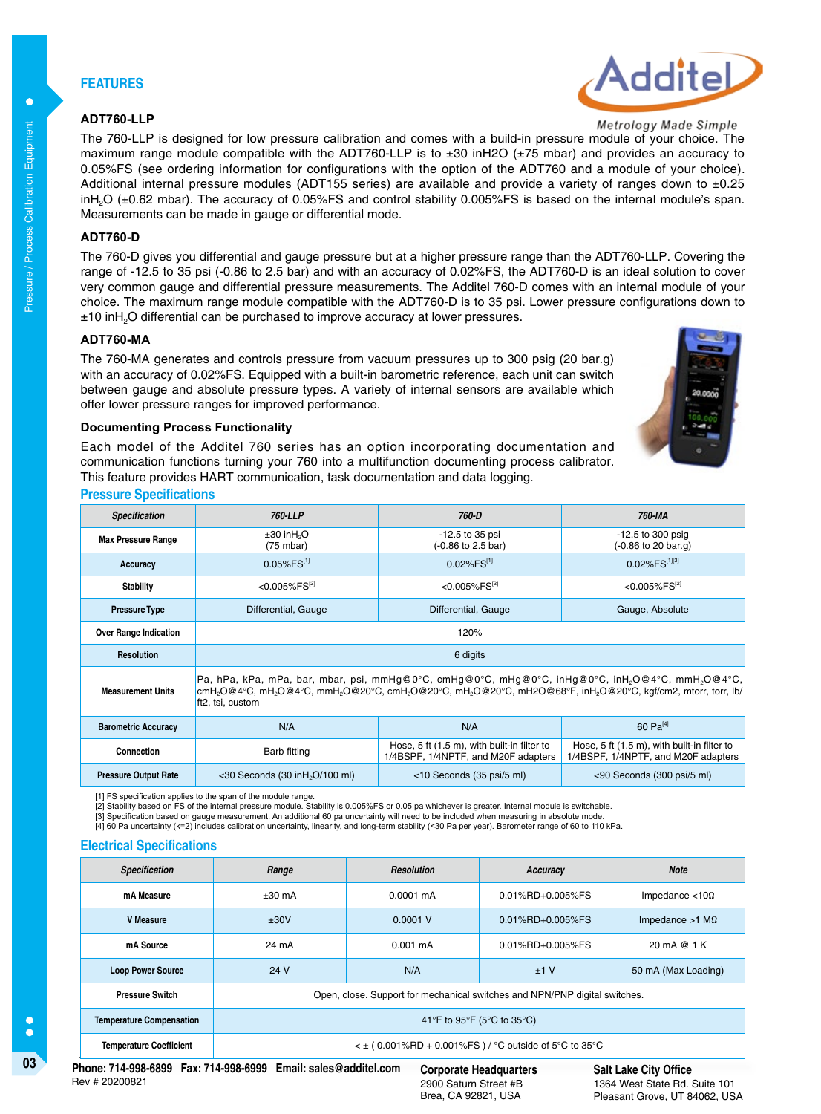## **FEATURES**

### **ADT760-LLP**



Metrology Made Simple

The 760-LLP is designed for low pressure calibration and comes with a build-in pressure module of your choice. The maximum range module compatible with the ADT760-LLP is to ±30 inH2O (±75 mbar) and provides an accuracy to 0.05%FS (see ordering information for configurations with the option of the ADT760 and a module of your choice). Additional internal pressure modules (ADT155 series) are available and provide a variety of ranges down to  $\pm 0.25$ inH<sub>2</sub>O (±0.62 mbar). The accuracy of 0.05%FS and control stability 0.005%FS is based on the internal module's span. Measurements can be made in gauge or differential mode.

#### **ADT760-D**

Pressure / Process Calibration Equipment

Pressure / Process Calibration Equipment

**C** 

The 760-D gives you differential and gauge pressure but at a higher pressure range than the ADT760-LLP. Covering the range of -12.5 to 35 psi (-0.86 to 2.5 bar) and with an accuracy of 0.02%FS, the ADT760-D is an ideal solution to cover very common gauge and differential pressure measurements. The Additel 760-D comes with an internal module of your choice. The maximum range module compatible with the ADT760-D is to 35 psi. Lower pressure configurations down to ±10 inH2O differential can be purchased to improve accuracy at lower pressures.

#### **ADT760-MA**

The 760-MA generates and controls pressure from vacuum pressures up to 300 psig (20 bar.g) with an accuracy of 0.02%FS. Equipped with a built-in barometric reference, each unit can switch between gauge and absolute pressure types. A variety of internal sensors are available which offer lower pressure ranges for improved performance.



#### **Documenting Process Functionality**

Each model of the Additel 760 series has an option incorporating documentation and communication functions turning your 760 into a multifunction documenting process calibrator. This feature provides HART communication, task documentation and data logging.

#### **Pressure Specifications**

| <b>Specification</b>         | 760-LLP                                                                                                                                                                                                                                                                                                                                 | 760-D                                 | 760-MA                                                                             |  |  |  |
|------------------------------|-----------------------------------------------------------------------------------------------------------------------------------------------------------------------------------------------------------------------------------------------------------------------------------------------------------------------------------------|---------------------------------------|------------------------------------------------------------------------------------|--|--|--|
| <b>Max Pressure Range</b>    | $\pm 30$ in H <sub>2</sub> O<br>$(75 \text{ mbar})$                                                                                                                                                                                                                                                                                     | -12.5 to 35 psi<br>(-0.86 to 2.5 bar) | $-12.5$ to 300 psig<br>$(-0.86 \text{ to } 20 \text{ bar}.q)$                      |  |  |  |
| Accuracy                     | $0.05\%$ FS <sup>[1]</sup>                                                                                                                                                                                                                                                                                                              | $0.02\%$ FS[1]                        | $0.02\%$ FS <sup>[1][3]</sup>                                                      |  |  |  |
| <b>Stability</b>             | $<$ 0.005% FS <sup>[2]</sup><br>$<$ 0.005%FS <sup>[2]</sup>                                                                                                                                                                                                                                                                             |                                       | $<$ 0.005%FS <sup>[2]</sup>                                                        |  |  |  |
| <b>Pressure Type</b>         | Differential, Gauge<br>Differential, Gauge                                                                                                                                                                                                                                                                                              |                                       | Gauge, Absolute                                                                    |  |  |  |
| <b>Over Range Indication</b> | 120%                                                                                                                                                                                                                                                                                                                                    |                                       |                                                                                    |  |  |  |
| <b>Resolution</b>            | 6 digits                                                                                                                                                                                                                                                                                                                                |                                       |                                                                                    |  |  |  |
| <b>Measurement Units</b>     | Pa, hPa, kPa, mPa, bar, mbar, psi, mmHg@0°C, cmHg@0°C, mHg@0°C, inHg@0°C, inH <sub>2</sub> O@4°C, mmH <sub>2</sub> O@4°C,<br>cmH <sub>2</sub> O@4°C, mH <sub>2</sub> O@4°C, mmH <sub>2</sub> O@20°C, cmH <sub>2</sub> O@20°C, mH <sub>2</sub> O@20°C, mH2O@68°F, inH <sub>2</sub> O@20°C, kgf/cm2, mtorr, torr, lb/<br>ft2, tsi, custom |                                       |                                                                                    |  |  |  |
| <b>Barometric Accuracy</b>   | 60 $Pa^{[4]}$<br>N/A<br>N/A                                                                                                                                                                                                                                                                                                             |                                       |                                                                                    |  |  |  |
| Connection                   | Hose, 5 ft (1.5 m), with built-in filter to<br>Barb fitting<br>1/4BSPF, 1/4NPTF, and M20F adapters                                                                                                                                                                                                                                      |                                       | Hose, 5 ft (1.5 m), with built-in filter to<br>1/4BSPF, 1/4NPTF, and M20F adapters |  |  |  |
| <b>Pressure Output Rate</b>  | $<$ 30 Seconds (30 in H <sub>2</sub> O/100 ml)<br><10 Seconds (35 psi/5 ml)                                                                                                                                                                                                                                                             |                                       | <90 Seconds (300 psi/5 ml)                                                         |  |  |  |

[1] FS specification applies to the span of the module range. [2] Stability based on FS of the internal pressure module. Stability is 0.005%FS or 0.05 pa whichever is greater. Internal module is switchable.

[3] Specification based on gauge measurement. An additional 60 pa uncertainty will need to be included when measuring in absolute mode.<br>[4] 60 Pa uncertainty (k=2) includes calibration uncertainty, linearity, and long-term

#### **Electrical Specifications**

| <b>Specification</b>            | Range                                                                      | <b>Resolution</b>   | Accuracy             | <b>Note</b>               |  |
|---------------------------------|----------------------------------------------------------------------------|---------------------|----------------------|---------------------------|--|
| mA Measure                      | $±30$ mA                                                                   | $0.0001 \text{ mA}$ | $0.01\%$ RD+0.005%FS | Impedance $<$ 10 $\Omega$ |  |
| <b>V</b> Measure                | ±30V                                                                       | $0.0001$ V          | 0.01%RD+0.005%FS     | Impedance $>1$ M $\Omega$ |  |
| mA Source                       | 24 mA                                                                      | $0.001 \text{ mA}$  | 0.01%RD+0.005%FS     | 20 mA @ 1 K               |  |
| <b>Loop Power Source</b>        | 24 V                                                                       | N/A                 | ±1V                  | 50 mA (Max Loading)       |  |
| <b>Pressure Switch</b>          | Open, close. Support for mechanical switches and NPN/PNP digital switches. |                     |                      |                           |  |
| <b>Temperature Compensation</b> | 41°F to 95°F (5°C to 35°C)                                                 |                     |                      |                           |  |
| <b>Temperature Coefficient</b>  | $\leq$ ± (0.001%RD + 0.001%FS) / °C outside of 5°C to 35°C                 |                     |                      |                           |  |

2900 Saturn Street #B Brea, CA 92821, USA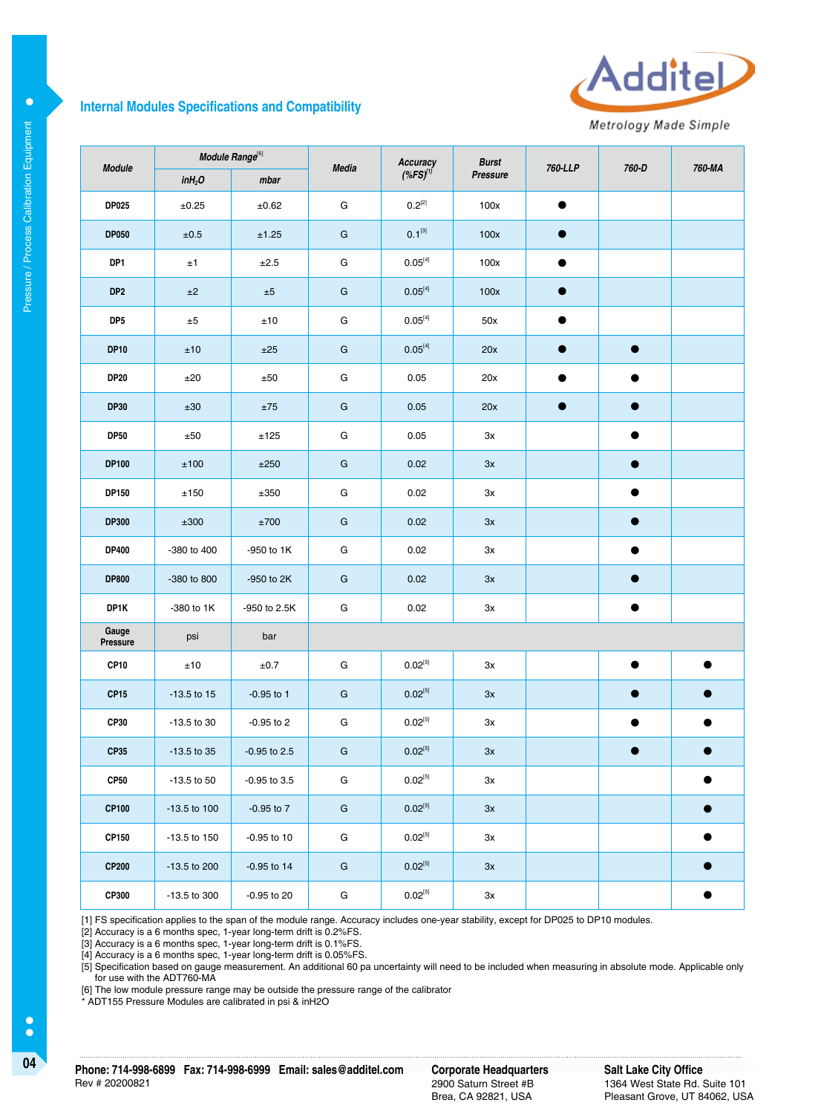## **Internal Modules Specifications and Compatibility**



Metrology Made Simple

| <b>Module</b>     | Module Range <sup>[6]</sup> |                | <b>Media</b>  | Accuracy                  | <b>Burst</b> | 760-LLP   | 760-D     | 760-MA    |
|-------------------|-----------------------------|----------------|---------------|---------------------------|--------------|-----------|-----------|-----------|
|                   | inH <sub>2</sub> O          | mbar           |               | $(*$ FS) $'$              | Pressure     |           |           |           |
| <b>DP025</b>      | $\pm 0.25$                  | ±0.62          | G             | $0.2^{[2]}$               | 100x         | $\bullet$ |           |           |
| <b>DP050</b>      | ±0.5                        | ±1.25          | G             | $0.1^{[3]}$               | 100x         | $\bullet$ |           |           |
| DP1               | ±1                          | ±2.5           | G             | $0.05^{[4]}$              | 100x         | $\bullet$ |           |           |
| DP <sub>2</sub>   | ±2                          | $\pm 5$        | G             | $0.05^{[4]}$              | 100x         | $\bullet$ |           |           |
| DP5               | ±5                          | ±10            | G             | $0.05^{[4]}$              | 50x          |           |           |           |
| <b>DP10</b>       | ±10                         | ±25            | G             | $0.05^{[4]}$              | 20x          | $\bullet$ | $\bullet$ |           |
| <b>DP20</b>       | ±20                         | ±50            | G             | 0.05                      | 20x          | $\bullet$ | $\bullet$ |           |
| <b>DP30</b>       | ±30                         | ±75            | G             | 0.05                      | 20x          | $\bullet$ | $\bullet$ |           |
| <b>DP50</b>       | ±50                         | ±125           | G             | 0.05                      | 3x           |           | $\bullet$ |           |
| <b>DP100</b>      | ±100                        | ±250           | G             | 0.02                      | 3x           |           | $\bullet$ |           |
| DP150             | ±150                        | ±350           | G             | 0.02                      | 3x           |           | $\bullet$ |           |
| <b>DP300</b>      | ±300                        | ±700           | ${\mathsf G}$ | 0.02                      | 3x           |           | $\bullet$ |           |
| <b>DP400</b>      | -380 to 400                 | -950 to 1K     | G             | 0.02                      | Зx           |           | ●         |           |
| <b>DP800</b>      | -380 to 800                 | -950 to 2K     | G             | 0.02                      | 3x           |           | $\bullet$ |           |
| DP1K              | -380 to 1K                  | -950 to 2.5K   | G             | 0.02                      | Зx           |           | $\bullet$ |           |
| Gauge<br>Pressure | psi                         | bar            |               |                           |              |           |           |           |
| <b>CP10</b>       | ±10                         | ±0.7           | G             | $0.02^{[5]}$              | Зx           |           | $\bullet$ | $\bullet$ |
| <b>CP15</b>       | $-13.5$ to 15               | $-0.95$ to 1   | G             | $0.02^{[5]}$              | 3x           |           | $\bullet$ | $\bullet$ |
| <b>CP30</b>       | -13.5 to 30                 | $-0.95$ to 2   | G             | $0.02^{[5]}$              | 3x           |           | $\bullet$ |           |
| <b>CP35</b>       | -13.5 to 35                 | $-0.95$ to 2.5 | G             | $0.02^{[5]}$              | 3x           |           |           |           |
| <b>CP50</b>       | $-13.5$ to $50$             | -0.95 to 3.5   | G             | $0.02^{\left[ 5\right] }$ | $3x$         |           |           |           |
| <b>CP100</b>      | -13.5 to 100                | $-0.95$ to $7$ | ${\mathsf G}$ | $0.02^{\left[ 5\right] }$ | 3x           |           |           |           |
| CP150             | -13.5 to 150                | $-0.95$ to 10  | ${\bf G}$     | $0.02^{\left[ 5\right] }$ | Зx           |           |           | $\bullet$ |
| <b>CP200</b>      | -13.5 to 200                | $-0.95$ to 14  | ${\mathsf G}$ | $0.02^{[5]}$              | 3x           |           |           | с         |
| CP300             | -13.5 to 300                | -0.95 to 20    | ${\bf G}$     | $0.02^{[5]}$              | $3x$         |           |           | $\bullet$ |

[1] FS specification applies to the span of the module range. Accuracy includes one-year stability, except for DP025 to DP10 modules.

[2] Accuracy is a 6 months spec, 1-year long-term drift is 0.2%FS.

[3] Accuracy is a 6 months spec, 1-year long-term drift is 0.1%FS.

[4] Accuracy is a 6 months spec, 1-year long-term drift is 0.05%FS.

[5] Specification based on gauge measurement. An additional 60 pa uncertainty will need to be included when measuring in absolute mode. Applicable only for use with the ADT760-MA

[6] The low module pressure range may be outside the pressure range of the calibrator

\* ADT155 Pressure Modules are calibrated in psi & inH2O

 $\bullet$ 

2900 Saturn Street #B Brea, CA 92821, USA

**Salt Lake City Office** 1364 West State Rd. Suite 101 Pleasant Grove, UT 84062, USA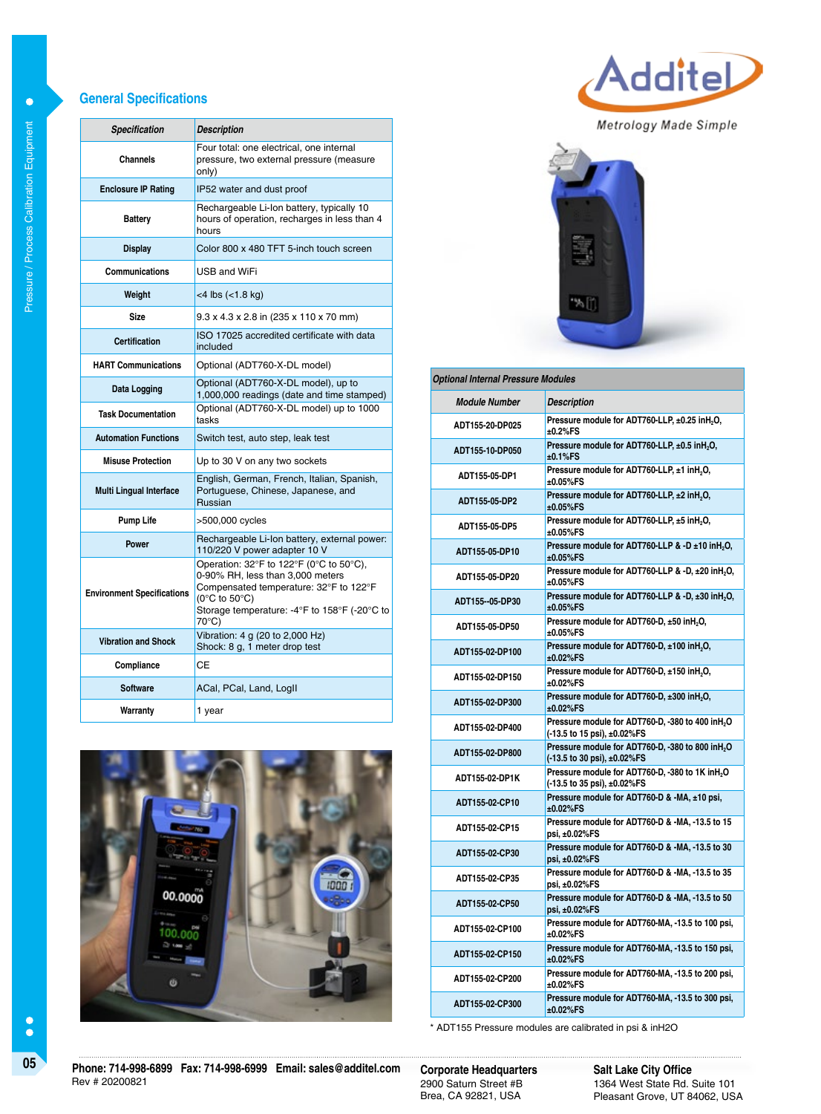#### **General Specifications**

| <b>Specification</b>              | <b>Description</b>                                                                                                                                                                                                |  |  |  |
|-----------------------------------|-------------------------------------------------------------------------------------------------------------------------------------------------------------------------------------------------------------------|--|--|--|
| Channels                          | Four total: one electrical, one internal<br>pressure, two external pressure (measure<br>only)                                                                                                                     |  |  |  |
| <b>Enclosure IP Rating</b>        | IP52 water and dust proof                                                                                                                                                                                         |  |  |  |
| <b>Battery</b>                    | Rechargeable Li-Ion battery, typically 10<br>hours of operation, recharges in less than 4<br>hours                                                                                                                |  |  |  |
| <b>Display</b>                    | Color 800 x 480 TFT 5-inch touch screen                                                                                                                                                                           |  |  |  |
| <b>Communications</b>             | USB and WiFi                                                                                                                                                                                                      |  |  |  |
| Weight                            | $<$ 4 lbs $(<$ 1.8 kg)                                                                                                                                                                                            |  |  |  |
| <b>Size</b>                       | 9.3 x 4.3 x 2.8 in (235 x 110 x 70 mm)                                                                                                                                                                            |  |  |  |
| <b>Certification</b>              | ISO 17025 accredited certificate with data<br>included                                                                                                                                                            |  |  |  |
| <b>HART Communications</b>        | Optional (ADT760-X-DL model)                                                                                                                                                                                      |  |  |  |
| Data Logging                      | Optional (ADT760-X-DL model), up to<br>1,000,000 readings (date and time stamped)                                                                                                                                 |  |  |  |
| <b>Task Documentation</b>         | Optional (ADT760-X-DL model) up to 1000<br>tasks                                                                                                                                                                  |  |  |  |
| <b>Automation Functions</b>       | Switch test, auto step, leak test                                                                                                                                                                                 |  |  |  |
| <b>Misuse Protection</b>          | Up to 30 V on any two sockets                                                                                                                                                                                     |  |  |  |
| <b>Multi Lingual Interface</b>    | English, German, French, Italian, Spanish,<br>Portuguese, Chinese, Japanese, and<br>Russian                                                                                                                       |  |  |  |
| <b>Pump Life</b>                  | >500,000 cycles                                                                                                                                                                                                   |  |  |  |
| <b>Power</b>                      | Rechargeable Li-Ion battery, external power:<br>110/220 V power adapter 10 V                                                                                                                                      |  |  |  |
| <b>Environment Specifications</b> | Operation: 32°F to 122°F (0°C to 50°C),<br>0-90% RH, less than 3,000 meters<br>Compensated temperature: 32°F to 122°F<br>$(0^{\circ}C$ to $50^{\circ}C)$<br>Storage temperature: -4°F to 158°F (-20°C to<br>70°C) |  |  |  |
| <b>Vibration and Shock</b>        | Vibration: 4 g (20 to 2,000 Hz)<br>Shock: 8 g, 1 meter drop test                                                                                                                                                  |  |  |  |
| Compliance                        | СE                                                                                                                                                                                                                |  |  |  |
| <b>Software</b>                   | ACal, PCal, Land, Logll                                                                                                                                                                                           |  |  |  |
| Warranty                          | 1 year                                                                                                                                                                                                            |  |  |  |





Additel

Metrology Made Simple



\* ADT155 Pressure modules are calibrated in psi & inH2O

**±0.02%FS**

**±0.02%FS**

**±0.02%FS**

**ADT155-02-CP200 Pressure module for ADT760-MA, -13.5 to 200 psi,** 

**ADT155-02-CP300 Pressure module for ADT760-MA, -13.5 to 300 psi,** 

 $\bullet$  $\bullet$ 

2900 Saturn Street #B Brea, CA 92821, USA